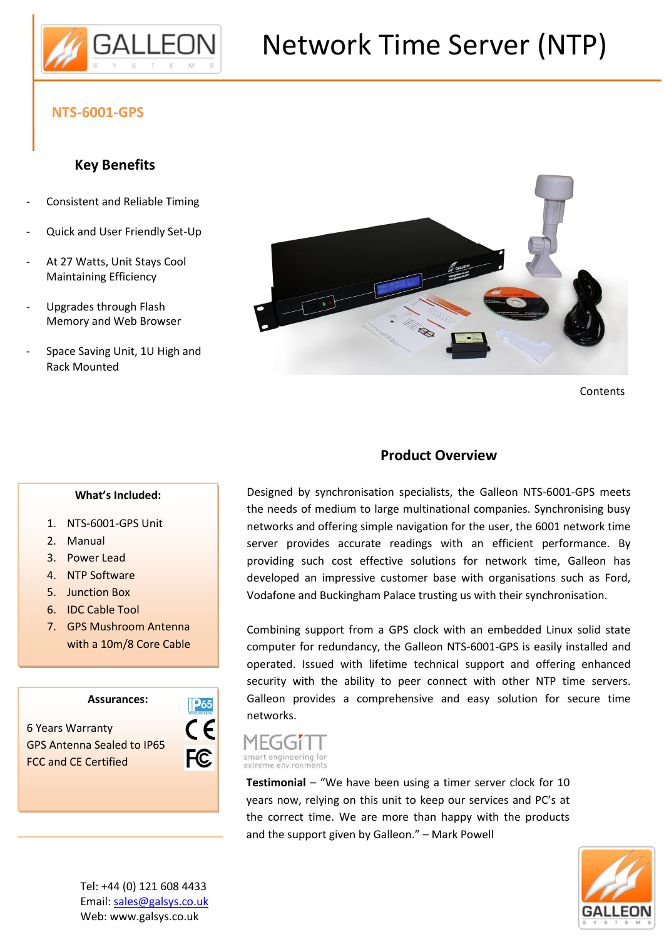

# Network Time Server (NTP)

#### **NTS-6001-GPS**

### **Key Benefits**

- Consistent and Reliable Timing
- Quick and User Friendly Set-Up
- At 27 Watts, Unit Stays Cool Maintaining Efficiency
- Upgrades through Flash Memory and Web Browser
- Space Saving Unit, 1U High and Rack Mounted



Contents

#### **Product Overview**

#### **What's Included:**

- 1. NTS-6001-GPS Unit
- 2. Manual
- 3. Power Lead
- 4. NTP Software
- 5. Junction Box
- 6. IDC Cable Tool
- 7. GPS Mushroom Antenna with a 10m/8 Core Cable

**Assurances:**

6 Years Warranty GPS Antenna Sealed to IP65 FCC and CE Certified



Designed by synchronisation specialists, the Galleon NTS-6001-GPS meets the needs of medium to large multinational companies. Synchronising busy networks and offering simple navigation for the user, the 6001 network time server provides accurate readings with an efficient performance. By providing such cost effective solutions for network time, Galleon has developed an impressive customer base with organisations such as Ford, Vodafone and Buckingham Palace trusting us with their synchronisation.

Combining support from a GPS clock with an embedded Linux solid state computer for redundancy, the Galleon NTS-6001-GPS is easily installed and operated. Issued with lifetime technical support and offering enhanced security with the ability to peer connect with other NTP time servers. Galleon provides a comprehensive and easy solution for secure time networks.

#### MEGGIT smart engineering for extreme environments

**Testimonial** – "We have been using a timer server clock for 10 years now, relying on this unit to keep our services and PC's at the correct time. We are more than happy with the products and the support given by Galleon." – Mark Powell



Tel: +44 (0) 121 608 4433 Email: sales@galsys.co.uk Web: www.galsys.co.uk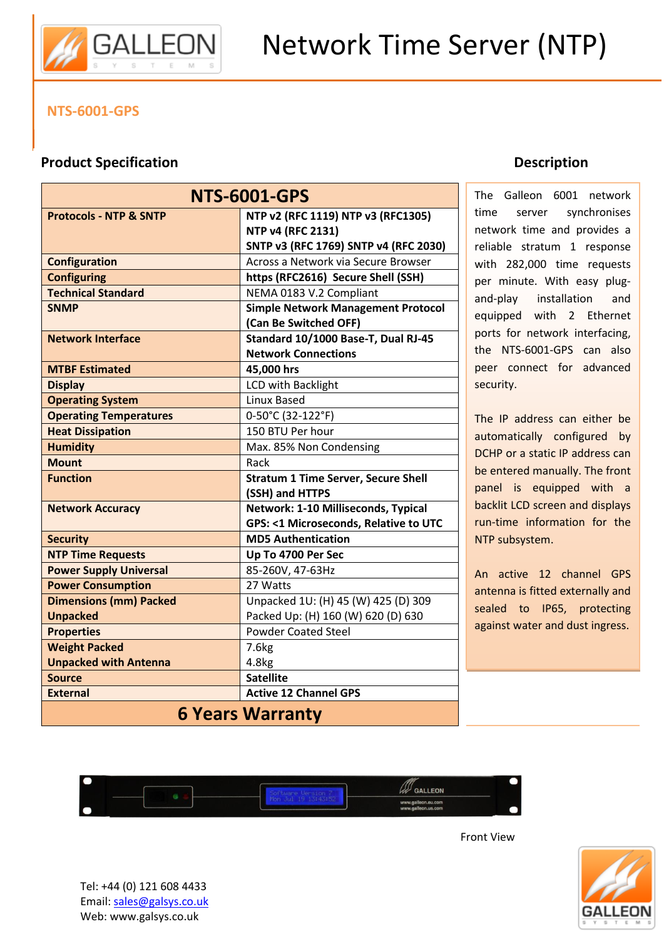

#### **NTS-6001-GPS**

#### **Product Specification**

| <b>NTS-6001-GPS</b>               |                                                                |
|-----------------------------------|----------------------------------------------------------------|
| <b>Protocols - NTP &amp; SNTP</b> | NTP v2 (RFC 1119) NTP v3 (RFC1305)<br><b>NTP v4 (RFC 2131)</b> |
|                                   | SNTP v3 (RFC 1769) SNTP v4 (RFC 2030)                          |
| <b>Configuration</b>              | Across a Network via Secure Browser                            |
| <b>Configuring</b>                | https (RFC2616) Secure Shell (SSH)                             |
| <b>Technical Standard</b>         | NEMA 0183 V.2 Compliant                                        |
| <b>SNMP</b>                       | <b>Simple Network Management Protocol</b>                      |
|                                   | (Can Be Switched OFF)                                          |
| <b>Network Interface</b>          | Standard 10/1000 Base-T, Dual RJ-45                            |
|                                   | <b>Network Connections</b>                                     |
| <b>MTBF Estimated</b>             | 45,000 hrs                                                     |
| <b>Display</b>                    | LCD with Backlight                                             |
| <b>Operating System</b>           | Linux Based                                                    |
| <b>Operating Temperatures</b>     | 0-50°C (32-122°F)                                              |
| <b>Heat Dissipation</b>           | 150 BTU Per hour                                               |
| <b>Humidity</b>                   | Max. 85% Non Condensing                                        |
| <b>Mount</b>                      | Rack                                                           |
| <b>Function</b>                   | <b>Stratum 1 Time Server, Secure Shell</b>                     |
|                                   | (SSH) and HTTPS                                                |
| <b>Network Accuracy</b>           | Network: 1-10 Milliseconds, Typical                            |
|                                   | <b>GPS: &lt;1 Microseconds, Relative to UTC</b>                |
| <b>Security</b>                   | <b>MD5 Authentication</b>                                      |
| <b>NTP Time Requests</b>          | Up To 4700 Per Sec                                             |
| <b>Power Supply Universal</b>     | 85-260V, 47-63Hz                                               |
| <b>Power Consumption</b>          | 27 Watts                                                       |
| <b>Dimensions (mm) Packed</b>     | Unpacked 1U: (H) 45 (W) 425 (D) 309                            |
| <b>Unpacked</b>                   | Packed Up: (H) 160 (W) 620 (D) 630                             |
| <b>Properties</b>                 | <b>Powder Coated Steel</b>                                     |
| <b>Weight Packed</b>              | 7.6 <sub>kg</sub>                                              |
| <b>Unpacked with Antenna</b>      | 4.8kg                                                          |
| <b>Source</b>                     | <b>Satellite</b>                                               |
| <b>External</b>                   | <b>Active 12 Channel GPS</b>                                   |
| <b>6 Years Warranty</b>           |                                                                |

#### **Description**

The Galleon 6001 network time server synchronises network time and provides a reliable stratum 1 response with 282,000 time requests per minute. With easy plugand-play installation and equipped with 2 Ethernet ports for network interfacing, the NTS-6001-GPS can also peer connect for advanced security.

The IP address can either be automatically configured by DCHP or a static IP address can be entered manually. The front panel is equipped with a backlit LCD screen and displays run-time information for the NTP subsystem.

An active 12 channel GPS antenna is fitted externally and sealed to IP65, protecting against water and dust ingress.



Front View



Tel: +44 (0) 121 608 4433 Email: sales@galsys.co.uk Web: www.galsys.co.uk